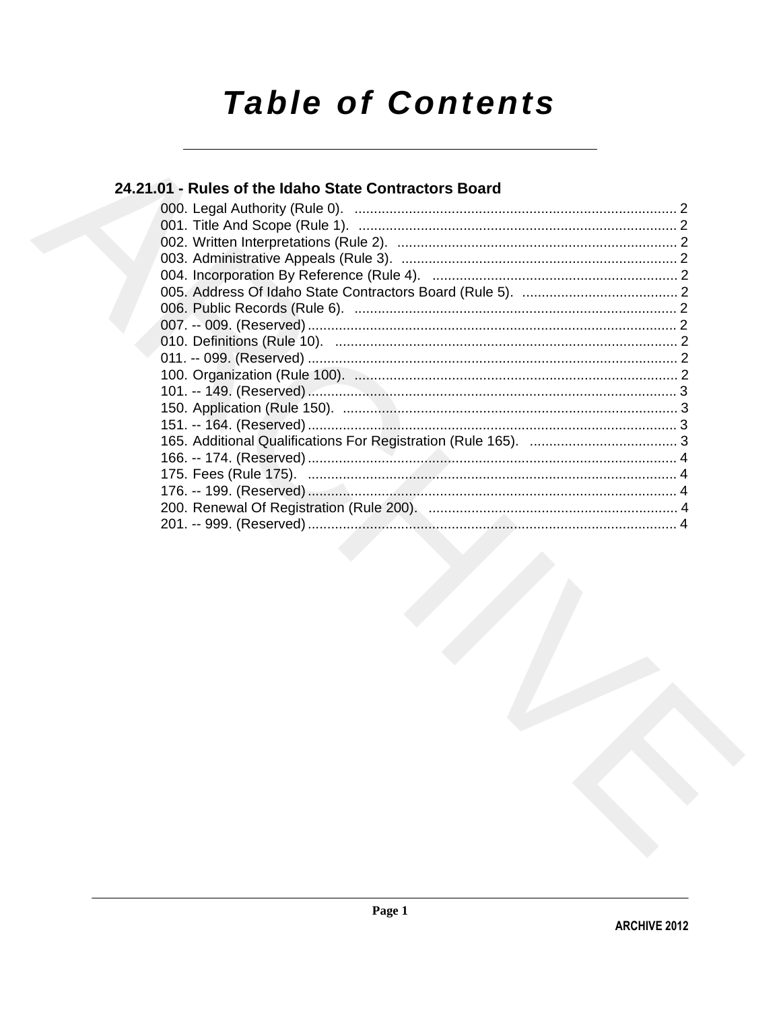# **Table of Contents**

## 24.21.01 - Rules of the Idaho State Contractors Board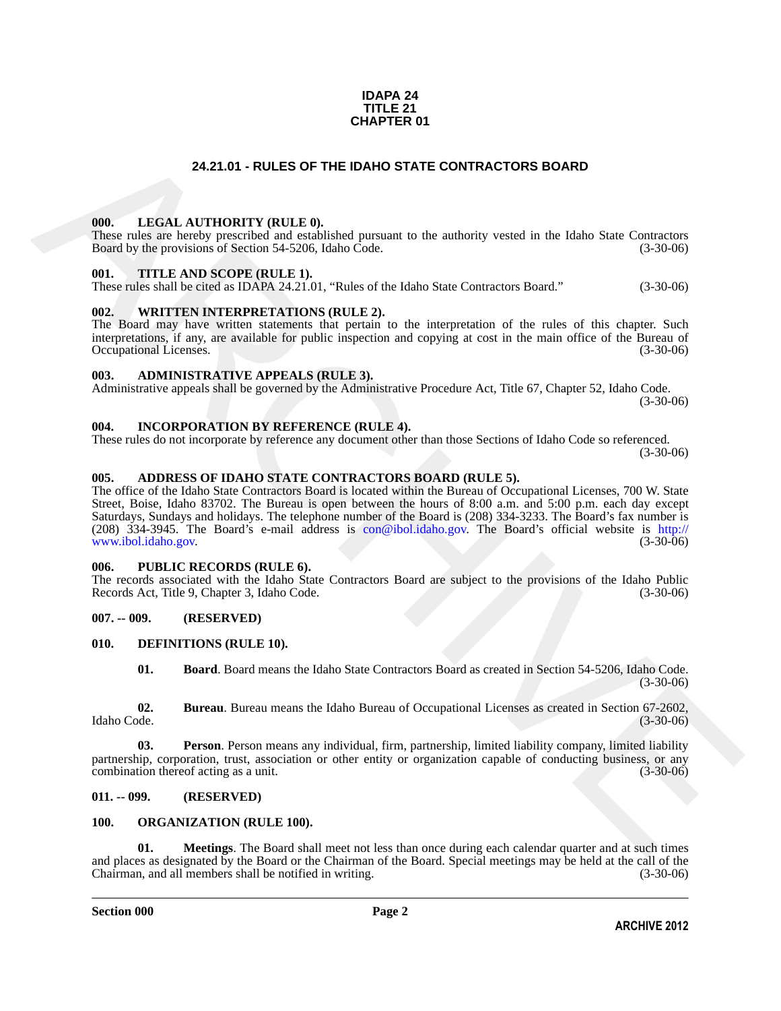#### **IDAPA 24 TITLE 21 CHAPTER 01**

#### **24.21.01 - RULES OF THE IDAHO STATE CONTRACTORS BOARD**

#### <span id="page-1-1"></span><span id="page-1-0"></span>**000. LEGAL AUTHORITY (RULE 0).**

These rules are hereby prescribed and established pursuant to the authority vested in the Idaho State Contractors Board by the provisions of Section 54-5206, Idaho Code. (3-30-06)

#### <span id="page-1-2"></span>**001. TITLE AND SCOPE (RULE 1).**

These rules shall be cited as IDAPA 24.21.01, "Rules of the Idaho State Contractors Board." (3-30-06)

#### <span id="page-1-3"></span>**002. WRITTEN INTERPRETATIONS (RULE 2).**

The Board may have written statements that pertain to the interpretation of the rules of this chapter. Such interpretations, if any, are available for public inspection and copying at cost in the main office of the Bureau of Occupational Licenses. (3-30-06) Occupational Licenses.

#### <span id="page-1-4"></span>**003. ADMINISTRATIVE APPEALS (RULE 3).**

Administrative appeals shall be governed by the Administrative Procedure Act, Title 67, Chapter 52, Idaho Code. (3-30-06)

#### <span id="page-1-5"></span>**004. INCORPORATION BY REFERENCE (RULE 4).**

These rules do not incorporate by reference any document other than those Sections of Idaho Code so referenced. (3-30-06)

#### <span id="page-1-6"></span>**005. ADDRESS OF IDAHO STATE CONTRACTORS BOARD (RULE 5).**

24.21.01 - RULES OF THE IDAHO STATE CONTRACTORS BOARD<br>
1968. LEGAL AITHYORTY (RIT.E.0).<br>
There in the former properties of the state of the state of the state of the state Critics of the state of the state of the state of The office of the Idaho State Contractors Board is located within the Bureau of Occupational Licenses, 700 W. State Street, Boise, Idaho 83702. The Bureau is open between the hours of 8:00 a.m. and 5:00 p.m. each day except Saturdays, Sundays and holidays. The telephone number of the Board is (208) 334-3233. The Board's fax number is (208) 334-3945. The Board's e-mail address is con@ibol.idaho.gov. The Board's official website is http:// www.ibol.idaho.gov.

#### <span id="page-1-7"></span>**006. PUBLIC RECORDS (RULE 6).**

The records associated with the Idaho State Contractors Board are subject to the provisions of the Idaho Public<br>Records Act, Title 9, Chapter 3, Idaho Code. (3-30-06) Records Act, Title 9, Chapter 3, Idaho Code.

#### <span id="page-1-8"></span>**007. -- 009. (RESERVED)**

#### <span id="page-1-9"></span>**010. DEFINITIONS (RULE 10).**

<span id="page-1-15"></span><span id="page-1-14"></span><span id="page-1-13"></span><span id="page-1-12"></span>**01. Board**. Board means the Idaho State Contractors Board as created in Section 54-5206, Idaho Code. (3-30-06)

**02. Bureau**. Bureau means the Idaho Bureau of Occupational Licenses as created in Section 67-2602, Idaho Code. (3-30-06)

**03. Person**. Person means any individual, firm, partnership, limited liability company, limited liability partnership, corporation, trust, association or other entity or organization capable of conducting business, or any combination thereof acting as a unit. combination thereof acting as a unit.

#### <span id="page-1-10"></span>**011. -- 099. (RESERVED)**

#### <span id="page-1-16"></span><span id="page-1-11"></span>**100. ORGANIZATION (RULE 100).**

<span id="page-1-17"></span>**01. Meetings**. The Board shall meet not less than once during each calendar quarter and at such times and places as designated by the Board or the Chairman of the Board. Special meetings may be held at the call of the Chairman, and all members shall be notified in writing. (3-30-06)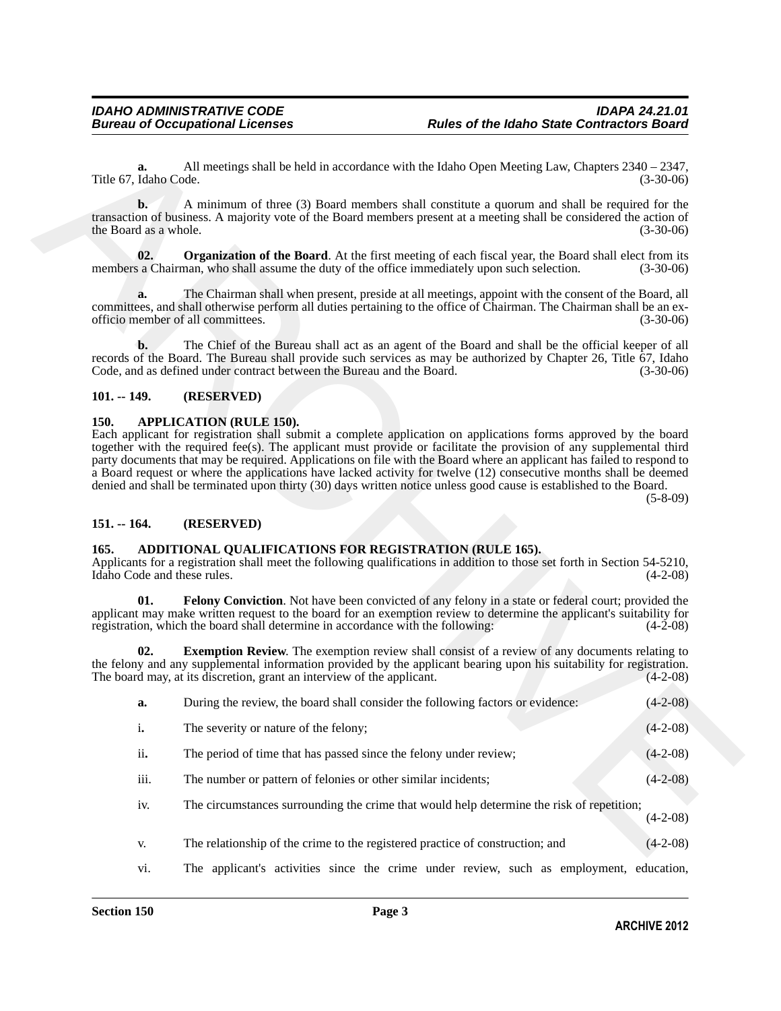#### <span id="page-2-8"></span><span id="page-2-0"></span>**101. -- 149. (RESERVED)**

#### <span id="page-2-7"></span><span id="page-2-1"></span>**150. APPLICATION (RULE 150).**

#### <span id="page-2-2"></span>**151. -- 164. (RESERVED)**

#### <span id="page-2-6"></span><span id="page-2-5"></span><span id="page-2-4"></span><span id="page-2-3"></span>**165. ADDITIONAL QUALIFICATIONS FOR REGISTRATION (RULE 165).**

| a.<br>Title 67, Idaho Code.             | All meetings shall be held in accordance with the Idaho Open Meeting Law, Chapters $2340 - 2347$ ,                                                                                                                                                                                                                                                                                                                                                                                                                                                                                                         | $(3-30-06)$    |
|-----------------------------------------|------------------------------------------------------------------------------------------------------------------------------------------------------------------------------------------------------------------------------------------------------------------------------------------------------------------------------------------------------------------------------------------------------------------------------------------------------------------------------------------------------------------------------------------------------------------------------------------------------------|----------------|
| $\mathbf{b}$ .<br>the Board as a whole. | A minimum of three (3) Board members shall constitute a quorum and shall be required for the<br>transaction of business. A majority vote of the Board members present at a meeting shall be considered the action of                                                                                                                                                                                                                                                                                                                                                                                       | $(3-30-06)$    |
| 02.                                     | <b>Organization of the Board</b> . At the first meeting of each fiscal year, the Board shall elect from its<br>members a Chairman, who shall assume the duty of the office immediately upon such selection.                                                                                                                                                                                                                                                                                                                                                                                                | $(3-30-06)$    |
| a.                                      | The Chairman shall when present, preside at all meetings, appoint with the consent of the Board, all<br>committees, and shall otherwise perform all duties pertaining to the office of Chairman. The Chairman shall be an ex-<br>officio member of all committees.                                                                                                                                                                                                                                                                                                                                         | $(3-30-06)$    |
| $\mathbf{b}$ .                          | The Chief of the Bureau shall act as an agent of the Board and shall be the official keeper of all<br>records of the Board. The Bureau shall provide such services as may be authorized by Chapter 26, Title 67, Idaho<br>Code, and as defined under contract between the Bureau and the Board.                                                                                                                                                                                                                                                                                                            | $(3-30-06)$    |
| $101. - 149.$                           | (RESERVED)                                                                                                                                                                                                                                                                                                                                                                                                                                                                                                                                                                                                 |                |
|                                         | Each applicant for registration shall submit a complete application on applications forms approved by the board<br>together with the required fee(s). The applicant must provide or facilitate the provision of any supplemental third<br>party documents that may be required. Applications on file with the Board where an applicant has failed to respond to<br>a Board request or where the applications have lacked activity for twelve (12) consecutive months shall be deemed<br>denied and shall be terminated upon thirty (30) days written notice unless good cause is established to the Board. | $(5 - 8 - 09)$ |
| $151. - 164.$                           | (RESERVED)                                                                                                                                                                                                                                                                                                                                                                                                                                                                                                                                                                                                 |                |
| 165.<br>Idaho Code and these rules.     | ADDITIONAL QUALIFICATIONS FOR REGISTRATION (RULE 165).<br>Applicants for a registration shall meet the following qualifications in addition to those set forth in Section 54-5210,                                                                                                                                                                                                                                                                                                                                                                                                                         | $(4-2-08)$     |
| 01.                                     | Felony Conviction. Not have been convicted of any felony in a state or federal court; provided the<br>applicant may make written request to the board for an exemption review to determine the applicant's suitability for<br>registration, which the board shall determine in accordance with the following:                                                                                                                                                                                                                                                                                              | $(4-2-08)$     |
| 02.                                     | <b>Exemption Review.</b> The exemption review shall consist of a review of any documents relating to<br>the felony and any supplemental information provided by the applicant bearing upon his suitability for registration.<br>The board may, at its discretion, grant an interview of the applicant.                                                                                                                                                                                                                                                                                                     |                |
|                                         |                                                                                                                                                                                                                                                                                                                                                                                                                                                                                                                                                                                                            | $(4-2-08)$     |
| a.                                      | During the review, the board shall consider the following factors or evidence:                                                                                                                                                                                                                                                                                                                                                                                                                                                                                                                             | $(4-2-08)$     |
| $\mathbf i$ .                           | The severity or nature of the felony;                                                                                                                                                                                                                                                                                                                                                                                                                                                                                                                                                                      | $(4-2-08)$     |
| ii.                                     | The period of time that has passed since the felony under review;                                                                                                                                                                                                                                                                                                                                                                                                                                                                                                                                          | $(4-2-08)$     |
| iii.                                    | The number or pattern of felonies or other similar incidents;                                                                                                                                                                                                                                                                                                                                                                                                                                                                                                                                              | $(4-2-08)$     |
| iv.                                     | The circumstances surrounding the crime that would help determine the risk of repetition;                                                                                                                                                                                                                                                                                                                                                                                                                                                                                                                  | $(4-2-08)$     |
| V.                                      | The relationship of the crime to the registered practice of construction; and                                                                                                                                                                                                                                                                                                                                                                                                                                                                                                                              | $(4-2-08)$     |

- iv. The circumstances surrounding the crime that would help determine the risk of repetition; (4-2-08)
- v. The relationship of the crime to the registered practice of construction; and (4-2-08)
- vi. The applicant's activities since the crime under review, such as employment, education,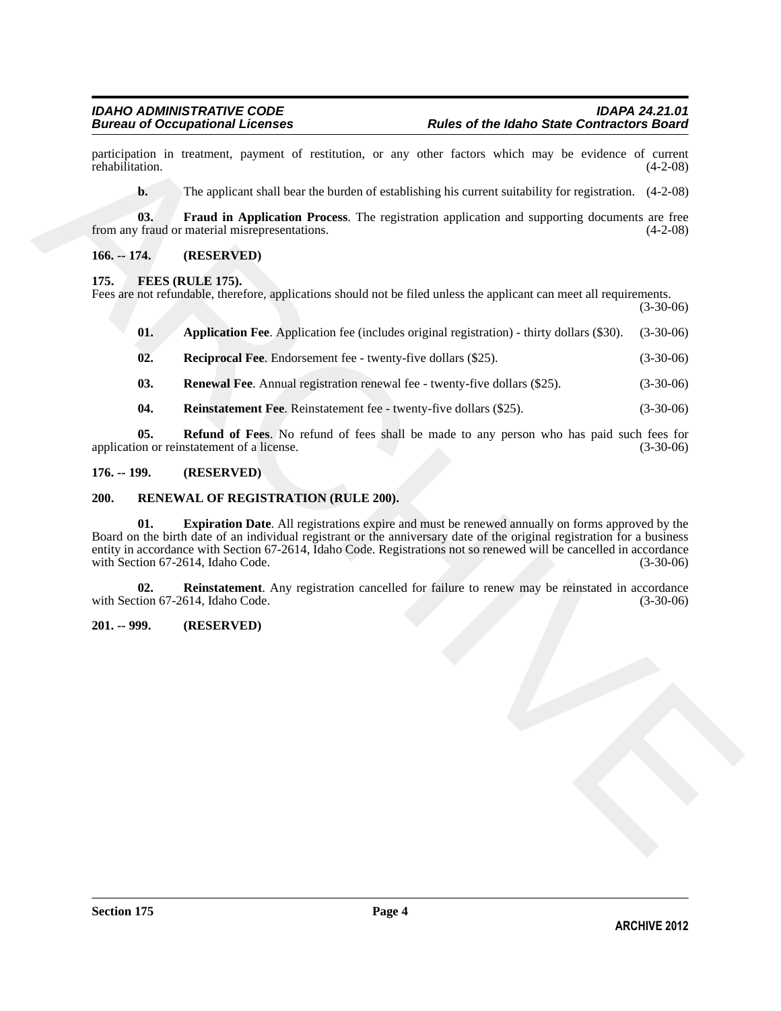participation in treatment, payment of restitution, or any other factors which may be evidence of current rehabilitation. (4-2-08) rehabilitation. (4-2-08)

<span id="page-3-5"></span>**b.** The applicant shall bear the burden of establishing his current suitability for registration.  $(4-2-08)$ 

**03.** Fraud in Application Process. The registration application and supporting documents are free *r* fraud or material misrepresentations. (4-2-08) from any fraud or material misrepresentations.

#### <span id="page-3-0"></span>**166. -- 174. (RESERVED)**

#### <span id="page-3-6"></span><span id="page-3-1"></span>**175. FEES (RULE 175).**

Fees are not refundable, therefore, applications should not be filed unless the applicant can meet all requirements.

(3-30-06)

<span id="page-3-7"></span>**01. Application Fee**. Application fee (includes original registration) - thirty dollars (\$30). (3-30-06)

<span id="page-3-8"></span>**02. Reciprocal Fee**. Endorsement fee - twenty-five dollars (\$25). (3-30-06)

<span id="page-3-11"></span>**03. Renewal Fee**. Annual registration renewal fee - twenty-five dollars (\$25). (3-30-06)

<span id="page-3-10"></span><span id="page-3-9"></span>**04. Reinstatement Fee**. Reinstatement fee - twenty-five dollars (\$25). (3-30-06)

**05. Refund of Fees**. No refund of fees shall be made to any person who has paid such fees for on or reinstatement of a license. (3-30-06) application or reinstatement of a license.

#### <span id="page-3-2"></span>**176. -- 199. (RESERVED)**

#### <span id="page-3-13"></span><span id="page-3-12"></span><span id="page-3-3"></span>**200. RENEWAL OF REGISTRATION (RULE 200).**

protieption in traineast, payment of restitution, or any other factors which may be evidence of carriers<br>
No applicant shall bear the bustes of stabilishing his current suitability for expiration. (4.2.08)<br>
ARCHIVE TO PRO **01. Expiration Date**. All registrations expire and must be renewed annually on forms approved by the Board on the birth date of an individual registrant or the anniversary date of the original registration for a business entity in accordance with Section 67-2614, Idaho Code. Registrations not so renewed will be cancelled in accordance with Section 67-2614, Idaho Code.

<span id="page-3-14"></span>**02.** Reinstatement. Any registration cancelled for failure to renew may be reinstated in accordance tion 67-2614, Idaho Code. (3-30-06) with Section 67-2614, Idaho Code.

#### <span id="page-3-4"></span>**201. -- 999. (RESERVED)**